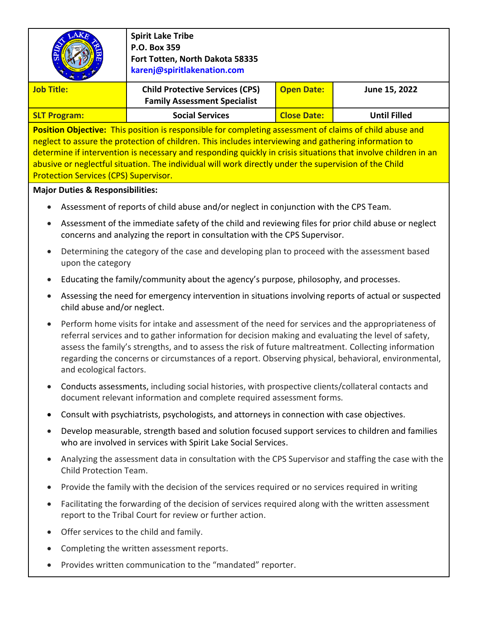| <b>Spirit Lake Tribe</b><br>P.O. Box 359<br>Fort Totten, North Dakota 58335<br>karenj@spiritlakenation.com                                                                                                                                                                                                                                                                                                                                                                                  |                                                                                                                                                                             |                    |                     |  |  |  |
|---------------------------------------------------------------------------------------------------------------------------------------------------------------------------------------------------------------------------------------------------------------------------------------------------------------------------------------------------------------------------------------------------------------------------------------------------------------------------------------------|-----------------------------------------------------------------------------------------------------------------------------------------------------------------------------|--------------------|---------------------|--|--|--|
| <b>Job Title:</b>                                                                                                                                                                                                                                                                                                                                                                                                                                                                           | <b>Child Protective Services (CPS)</b><br><b>Family Assessment Specialist</b>                                                                                               | <b>Open Date:</b>  | June 15, 2022       |  |  |  |
| <b>SLT Program:</b>                                                                                                                                                                                                                                                                                                                                                                                                                                                                         | <b>Social Services</b>                                                                                                                                                      | <b>Close Date:</b> | <b>Until Filled</b> |  |  |  |
| Position Objective: This position is responsible for completing assessment of claims of child abuse and<br>neglect to assure the protection of children. This includes interviewing and gathering information to<br>determine if intervention is necessary and responding quickly in crisis situations that involve children in an<br>abusive or neglectful situation. The individual will work directly under the supervision of the Child<br><b>Protection Services (CPS) Supervisor.</b> |                                                                                                                                                                             |                    |                     |  |  |  |
| <b>Major Duties &amp; Responsibilities:</b>                                                                                                                                                                                                                                                                                                                                                                                                                                                 |                                                                                                                                                                             |                    |                     |  |  |  |
|                                                                                                                                                                                                                                                                                                                                                                                                                                                                                             | Assessment of reports of child abuse and/or neglect in conjunction with the CPS Team.                                                                                       |                    |                     |  |  |  |
| Assessment of the immediate safety of the child and reviewing files for prior child abuse or neglect<br>concerns and analyzing the report in consultation with the CPS Supervisor.                                                                                                                                                                                                                                                                                                          |                                                                                                                                                                             |                    |                     |  |  |  |
| Determining the category of the case and developing plan to proceed with the assessment based<br>upon the category                                                                                                                                                                                                                                                                                                                                                                          |                                                                                                                                                                             |                    |                     |  |  |  |
| Educating the family/community about the agency's purpose, philosophy, and processes.                                                                                                                                                                                                                                                                                                                                                                                                       |                                                                                                                                                                             |                    |                     |  |  |  |
| Assessing the need for emergency intervention in situations involving reports of actual or suspected<br>child abuse and/or neglect.                                                                                                                                                                                                                                                                                                                                                         |                                                                                                                                                                             |                    |                     |  |  |  |
| Perform home visits for intake and assessment of the need for services and the appropriateness of<br>referral services and to gather information for decision making and evaluating the level of safety,<br>assess the family's strengths, and to assess the risk of future maltreatment. Collecting information<br>regarding the concerns or circumstances of a report. Observing physical, behavioral, environmental,<br>and ecological factors.                                          |                                                                                                                                                                             |                    |                     |  |  |  |
|                                                                                                                                                                                                                                                                                                                                                                                                                                                                                             | Conducts assessments, including social histories, with prospective clients/collateral contacts and<br>document relevant information and complete required assessment forms. |                    |                     |  |  |  |
| Consult with psychiatrists, psychologists, and attorneys in connection with case objectives.                                                                                                                                                                                                                                                                                                                                                                                                |                                                                                                                                                                             |                    |                     |  |  |  |
| Develop measurable, strength based and solution focused support services to children and families<br>who are involved in services with Spirit Lake Social Services.                                                                                                                                                                                                                                                                                                                         |                                                                                                                                                                             |                    |                     |  |  |  |
|                                                                                                                                                                                                                                                                                                                                                                                                                                                                                             | Analyzing the assessment data in consultation with the CPS Supervisor and staffing the case with the<br>Child Protection Team.                                              |                    |                     |  |  |  |
|                                                                                                                                                                                                                                                                                                                                                                                                                                                                                             | Provide the family with the decision of the services required or no services required in writing                                                                            |                    |                     |  |  |  |
| $\bullet$                                                                                                                                                                                                                                                                                                                                                                                                                                                                                   | Facilitating the forwarding of the decision of services required along with the written assessment<br>report to the Tribal Court for review or further action.              |                    |                     |  |  |  |
|                                                                                                                                                                                                                                                                                                                                                                                                                                                                                             | Offer services to the child and family.                                                                                                                                     |                    |                     |  |  |  |
|                                                                                                                                                                                                                                                                                                                                                                                                                                                                                             | Completing the written assessment reports.                                                                                                                                  |                    |                     |  |  |  |
|                                                                                                                                                                                                                                                                                                                                                                                                                                                                                             | Provides written communication to the "mandated" reporter.                                                                                                                  |                    |                     |  |  |  |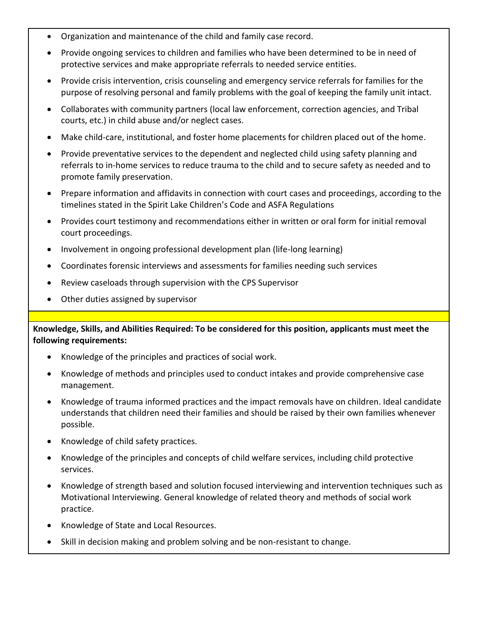- Organization and maintenance of the child and family case record.
- Provide ongoing services to children and families who have been determined to be in need of protective services and make appropriate referrals to needed service entities.
- Provide crisis intervention, crisis counseling and emergency service referrals for families for the purpose of resolving personal and family problems with the goal of keeping the family unit intact.
- Collaborates with community partners (local law enforcement, correction agencies, and Tribal courts, etc.) in child abuse and/or neglect cases.
- Make child-care, institutional, and foster home placements for children placed out of the home.
- Provide preventative services to the dependent and neglected child using safety planning and referrals to in-home services to reduce trauma to the child and to secure safety as needed and to promote family preservation.
- Prepare information and affidavits in connection with court cases and proceedings, according to the timelines stated in the Spirit Lake Children's Code and ASFA Regulations
- Provides court testimony and recommendations either in written or oral form for initial removal court proceedings.
- Involvement in ongoing professional development plan (life-long learning)
- Coordinates forensic interviews and assessments for families needing such services
- Review caseloads through supervision with the CPS Supervisor
- Other duties assigned by supervisor

**Knowledge, Skills, and Abilities Required: To be considered for this position, applicants must meet the following requirements:**

- Knowledge of the principles and practices of social work.
- Knowledge of methods and principles used to conduct intakes and provide comprehensive case management.
- Knowledge of trauma informed practices and the impact removals have on children. Ideal candidate understands that children need their families and should be raised by their own families whenever possible.
- Knowledge of child safety practices.
- Knowledge of the principles and concepts of child welfare services, including child protective services.
- Knowledge of strength based and solution focused interviewing and intervention techniques such as Motivational Interviewing. General knowledge of related theory and methods of social work practice.
- Knowledge of State and Local Resources.
- Skill in decision making and problem solving and be non-resistant to change.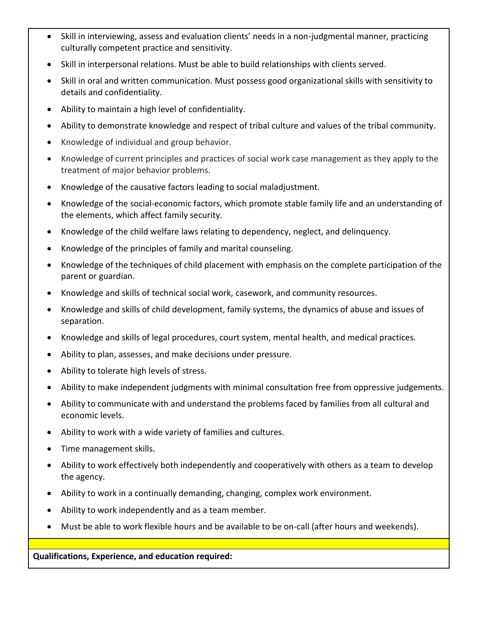- Skill in interviewing, assess and evaluation clients' needs in a non-judgmental manner, practicing culturally competent practice and sensitivity.
- Skill in interpersonal relations. Must be able to build relationships with clients served.
- Skill in oral and written communication. Must possess good organizational skills with sensitivity to details and confidentiality.
- Ability to maintain a high level of confidentiality.
- Ability to demonstrate knowledge and respect of tribal culture and values of the tribal community.
- Knowledge of individual and group behavior.
- Knowledge of current principles and practices of social work case management as they apply to the treatment of major behavior problems.
- Knowledge of the causative factors leading to social maladjustment.
- Knowledge of the social-economic factors, which promote stable family life and an understanding of the elements, which affect family security.
- Knowledge of the child welfare laws relating to dependency, neglect, and delinquency.
- Knowledge of the principles of family and marital counseling.
- Knowledge of the techniques of child placement with emphasis on the complete participation of the parent or guardian.
- Knowledge and skills of technical social work, casework, and community resources.
- Knowledge and skills of child development, family systems, the dynamics of abuse and issues of separation.
- Knowledge and skills of legal procedures, court system, mental health, and medical practices.
- Ability to plan, assesses, and make decisions under pressure.
- Ability to tolerate high levels of stress.
- Ability to make independent judgments with minimal consultation free from oppressive judgements.
- Ability to communicate with and understand the problems faced by families from all cultural and economic levels.
- Ability to work with a wide variety of families and cultures.
- Time management skills.
- Ability to work effectively both independently and cooperatively with others as a team to develop the agency.
- Ability to work in a continually demanding, changing, complex work environment.
- Ability to work independently and as a team member.
- Must be able to work flexible hours and be available to be on-call (after hours and weekends).

**Qualifications, Experience, and education required:**